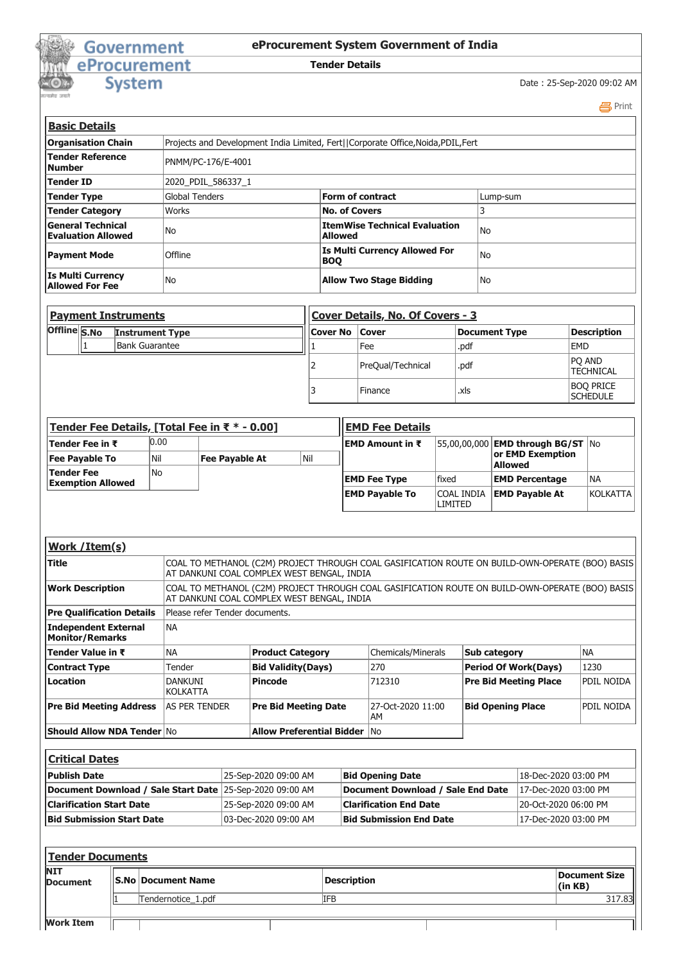## Government<br>
eProcurement<br>
System

## **eProcurement System Government of India**

## **Tender Details**

Date : 25-Sep-2020 09:02 AM

 [Print](javascript:void(0);)

| <b>Basic Details</b>                                  |                                                       |                                                                                    |                |  |
|-------------------------------------------------------|-------------------------------------------------------|------------------------------------------------------------------------------------|----------------|--|
| <b>Organisation Chain</b>                             |                                                       | Projects and Development India Limited, Fert   Corporate Office, Noida, PDIL, Fert |                |  |
| Tender Reference<br><b>Number</b>                     | PNMM/PC-176/E-4001                                    |                                                                                    |                |  |
| Tender ID                                             | 2020 PDIL 586337 1                                    |                                                                                    |                |  |
| Tender Type                                           | <b>Global Tenders</b><br>Form of contract<br>Lump-sum |                                                                                    |                |  |
| <b>Tender Category</b>                                | Works                                                 | <b>No. of Covers</b>                                                               |                |  |
| <b>General Technical</b><br><b>Evaluation Allowed</b> | No                                                    | <b>ItemWise Technical Evaluation</b><br><b>Allowed</b>                             | N <sub>o</sub> |  |
| <b>Payment Mode</b>                                   | Offline                                               | <b>Is Multi Currency Allowed For</b><br><b>BOO</b>                                 | N <sub>o</sub> |  |
| <b>Is Multi Currency</b><br><b>Allowed For Fee</b>    | No                                                    | <b>Allow Two Stage Bidding</b>                                                     | No             |  |

| <b>Payment Instruments</b>             |                | Cover Details, No. Of Covers - 3 |  |                   |                    |                                     |
|----------------------------------------|----------------|----------------------------------|--|-------------------|--------------------|-------------------------------------|
| Offline S.No<br><b>Instrument Type</b> |                | Cover No   Cover                 |  | Document Type     | <b>Description</b> |                                     |
|                                        | Bank Guarantee |                                  |  | Fee               | .pdf               | <b>EMD</b>                          |
|                                        |                |                                  |  | PreQual/Technical | .pdf               | <b>PO AND</b><br><b>TECHNICAL</b>   |
|                                        |                |                                  |  | Finance           | .xls               | <b>BOO PRICE</b><br><b>SCHEDULE</b> |

| Tender Fee Details, [Total Fee in ₹ * - 0.00] |      |                | <b>EMD Fee Details</b> |                       |                              |                                          |           |
|-----------------------------------------------|------|----------------|------------------------|-----------------------|------------------------------|------------------------------------------|-----------|
| Tender Fee in ₹                               | 0.00 |                |                        | EMD Amount in ₹       |                              | 55,00,00,000 <b>EMD through BG/ST</b> No |           |
| <b>Fee Payable To</b>                         | 'Nil | Fee Payable At | l Nil                  |                       |                              | or EMD Exemption<br><b>Allowed</b>       |           |
| Tender Fee<br><b>Exemption Allowed</b>        | No   |                |                        | <b>EMD Fee Type</b>   | <b>fixed</b>                 | <b>EMD Percentage</b>                    | <b>NA</b> |
|                                               |      |                |                        | <b>EMD Payable To</b> | <b>COAL INDIA</b><br>LIMITED | <b>EMD Pavable At</b>                    | KOLKATTA  |

| Work / Item(s)                                 |                                                                                                                                               |                                                                                                                                               |                         |                              |            |  |  |
|------------------------------------------------|-----------------------------------------------------------------------------------------------------------------------------------------------|-----------------------------------------------------------------------------------------------------------------------------------------------|-------------------------|------------------------------|------------|--|--|
| Title                                          | COAL TO METHANOL (C2M) PROJECT THROUGH COAL GASIFICATION ROUTE ON BUILD-OWN-OPERATE (BOO) BASIS<br>AT DANKUNI COAL COMPLEX WEST BENGAL, INDIA |                                                                                                                                               |                         |                              |            |  |  |
| <b>Work Description</b>                        |                                                                                                                                               | COAL TO METHANOL (C2M) PROJECT THROUGH COAL GASIFICATION ROUTE ON BUILD-OWN-OPERATE (BOO) BASIS<br>AT DANKUNI COAL COMPLEX WEST BENGAL, INDIA |                         |                              |            |  |  |
| <b>Pre Qualification Details</b>               | Please refer Tender documents.                                                                                                                |                                                                                                                                               |                         |                              |            |  |  |
| Independent External<br><b>Monitor/Remarks</b> | <b>NA</b>                                                                                                                                     |                                                                                                                                               |                         |                              |            |  |  |
| Tender Value in ₹                              | <b>NA</b>                                                                                                                                     | <b>Product Category</b>                                                                                                                       | Chemicals/Minerals      | Sub category                 | <b>NA</b>  |  |  |
| <b>Contract Type</b>                           | Tender                                                                                                                                        | <b>Bid Validity(Days)</b>                                                                                                                     | 270                     | <b>Period Of Work(Days)</b>  | 1230       |  |  |
| Location                                       | DANKUNI<br><b>KOLKATTA</b>                                                                                                                    | <b>Pincode</b>                                                                                                                                | 712310                  | <b>Pre Bid Meeting Place</b> | PDIL NOIDA |  |  |
| <b>Pre Bid Meeting Address</b>                 | <b>AS PER TENDER</b>                                                                                                                          | <b>Pre Bid Meeting Date</b>                                                                                                                   | 27-Oct-2020 11:00<br>AM | <b>Bid Opening Place</b>     | PDIL NOIDA |  |  |
| <b>Should Allow NDA Tender No</b>              |                                                                                                                                               | <b>Allow Preferential Bidder No</b>                                                                                                           |                         |                              |            |  |  |

| <b>Critical Dates</b>                                    |                      |                                   |                      |  |  |  |
|----------------------------------------------------------|----------------------|-----------------------------------|----------------------|--|--|--|
| <b>Publish Date</b>                                      | 25-Sep-2020 09:00 AM | <b>Bid Opening Date</b>           | 18-Dec-2020 03:00 PM |  |  |  |
| Document Download / Sale Start Date 25-Sep-2020 09:00 AM |                      | Document Download / Sale End Date | 17-Dec-2020 03:00 PM |  |  |  |
| <b>Clarification Start Date</b>                          | 25-Sep-2020 09:00 AM | <b>Clarification End Date</b>     | 20-Oct-2020 06:00 PM |  |  |  |
| <b>Bid Submission Start Date</b>                         | 03-Dec-2020 09:00 AM | <b>Bid Submission End Date</b>    | 17-Dec-2020 03:00 PM |  |  |  |

| <b>Tender Documents</b>       |                            |                    |                    |                          |  |  |
|-------------------------------|----------------------------|--------------------|--------------------|--------------------------|--|--|
| <b>NIT</b><br><b>Document</b> | <b>IS.No Document Name</b> |                    | <b>Description</b> | Document Size<br>(in KB) |  |  |
|                               |                            | Tendernotice 1.pdf | <b>IFB</b>         | 317.83                   |  |  |
| <b>Work Item</b>              |                            |                    |                    |                          |  |  |